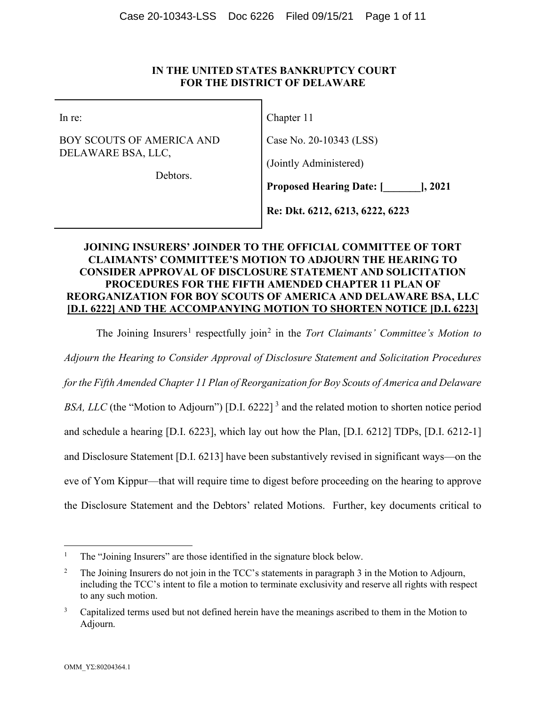## **IN THE UNITED STATES BANKRUPTCY COURT FOR THE DISTRICT OF DELAWARE**

In re:

BOY SCOUTS OF AMERICA AND DELAWARE BSA, LLC,

Chapter 11

Case No. 20-10343 (LSS)

(Jointly Administered)

Debtors.

**Proposed Hearing Date: [\_\_\_\_\_\_\_], 2021**

**Re: Dkt. 6212, 6213, 6222, 6223**

# **JOINING INSURERS' JOINDER TO THE OFFICIAL COMMITTEE OF TORT CLAIMANTS' COMMITTEE'S MOTION TO ADJOURN THE HEARING TO CONSIDER APPROVAL OF DISCLOSURE STATEMENT AND SOLICITATION PROCEDURES FOR THE FIFTH AMENDED CHAPTER 11 PLAN OF REORGANIZATION FOR BOY SCOUTS OF AMERICA AND DELAWARE BSA, LLC [D.I. 6222] AND THE ACCOMPANYING MOTION TO SHORTEN NOTICE [D.I. 6223]**

The Joining Insurers<sup>[1](#page-0-0)</sup> respectfully join<sup>[2](#page-0-1)</sup> in the *Tort Claimants' Committee's Motion to* 

*Adjourn the Hearing to Consider Approval of Disclosure Statement and Solicitation Procedures* 

*for the Fifth Amended Chapter 11 Plan of Reorganization for Boy Scouts of America and Delaware* 

*BSA, LLC* (the "Motion to Adjourn") [D.I. 6222]<sup>[3](#page-0-2)</sup> and the related motion to shorten notice period

and schedule a hearing [D.I. 6223], which lay out how the Plan, [D.I. 6212] TDPs, [D.I. 6212-1]

and Disclosure Statement [D.I. 6213] have been substantively revised in significant ways—on the

eve of Yom Kippur—that will require time to digest before proceeding on the hearing to approve

the Disclosure Statement and the Debtors' related Motions. Further, key documents critical to

<span id="page-0-0"></span><sup>1</sup> The "Joining Insurers" are those identified in the signature block below.

<span id="page-0-1"></span><sup>&</sup>lt;sup>2</sup> The Joining Insurers do not join in the TCC's statements in paragraph 3 in the Motion to Adjourn, including the TCC's intent to file a motion to terminate exclusivity and reserve all rights with respect to any such motion.

<span id="page-0-2"></span><sup>&</sup>lt;sup>3</sup> Capitalized terms used but not defined herein have the meanings ascribed to them in the Motion to Adjourn.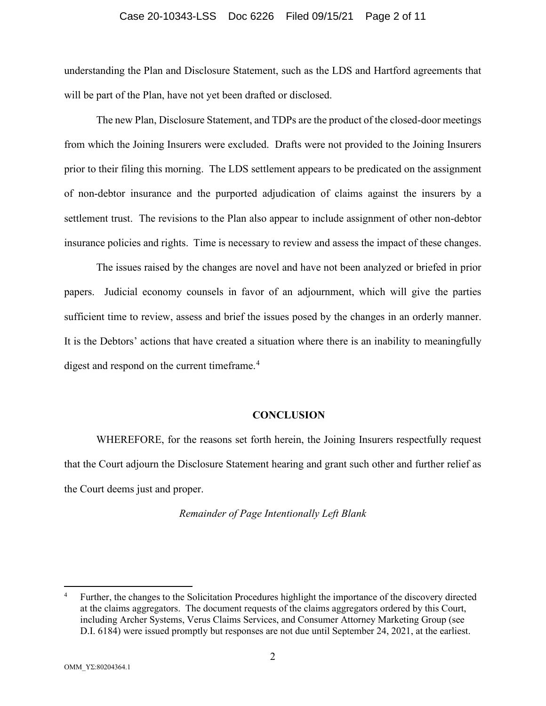#### Case 20-10343-LSS Doc 6226 Filed 09/15/21 Page 2 of 11

understanding the Plan and Disclosure Statement, such as the LDS and Hartford agreements that will be part of the Plan, have not yet been drafted or disclosed.

The new Plan, Disclosure Statement, and TDPs are the product of the closed-door meetings from which the Joining Insurers were excluded. Drafts were not provided to the Joining Insurers prior to their filing this morning. The LDS settlement appears to be predicated on the assignment of non-debtor insurance and the purported adjudication of claims against the insurers by a settlement trust. The revisions to the Plan also appear to include assignment of other non-debtor insurance policies and rights. Time is necessary to review and assess the impact of these changes.

The issues raised by the changes are novel and have not been analyzed or briefed in prior papers. Judicial economy counsels in favor of an adjournment, which will give the parties sufficient time to review, assess and brief the issues posed by the changes in an orderly manner. It is the Debtors' actions that have created a situation where there is an inability to meaningfully digest and respond on the current timeframe.<sup>[4](#page-1-0)</sup>

### **CONCLUSION**

WHEREFORE, for the reasons set forth herein, the Joining Insurers respectfully request that the Court adjourn the Disclosure Statement hearing and grant such other and further relief as the Court deems just and proper.

#### *Remainder of Page Intentionally Left Blank*

<span id="page-1-0"></span><sup>4</sup> Further, the changes to the Solicitation Procedures highlight the importance of the discovery directed at the claims aggregators. The document requests of the claims aggregators ordered by this Court, including Archer Systems, Verus Claims Services, and Consumer Attorney Marketing Group (see D.I. 6184) were issued promptly but responses are not due until September 24, 2021, at the earliest.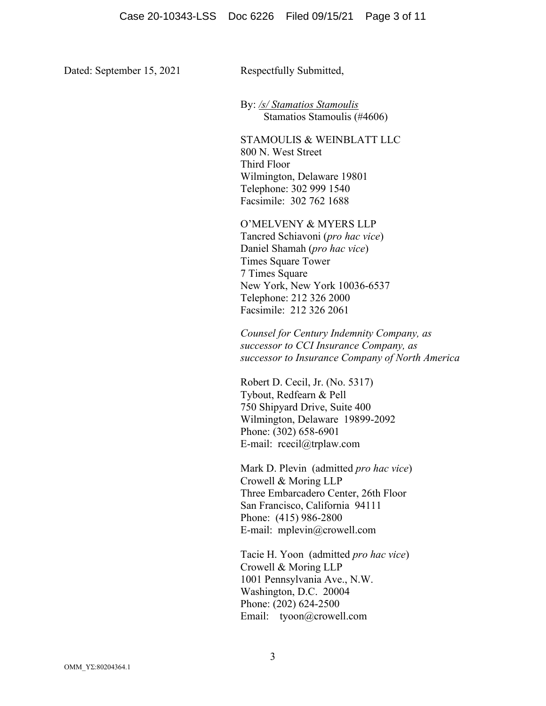Dated: September 15, 2021 Respectfully Submitted,

By: */s/ Stamatios Stamoulis* Stamatios Stamoulis (#4606)

STAMOULIS & WEINBLATT LLC 800 N. West Street Third Floor Wilmington, Delaware 19801 Telephone: 302 999 1540 Facsimile: 302 762 1688

O'MELVENY & MYERS LLP

Tancred Schiavoni (*pro hac vice*) Daniel Shamah (*pro hac vice*) Times Square Tower 7 Times Square New York, New York 10036-6537 Telephone: 212 326 2000 Facsimile: 212 326 2061

*Counsel for Century Indemnity Company, as successor to CCI Insurance Company, as successor to Insurance Company of North America* 

Robert D. Cecil, Jr. (No. 5317) Tybout, Redfearn & Pell 750 Shipyard Drive, Suite 400 Wilmington, Delaware 19899-2092 Phone: (302) 658-6901 E-mail: rcecil@trplaw.com

Mark D. Plevin (admitted *pro hac vice*) Crowell & Moring LLP Three Embarcadero Center, 26th Floor San Francisco, California 94111 Phone: (415) 986-2800 E-mail: mplevin@crowell.com

Tacie H. Yoon (admitted *pro hac vice*) Crowell & Moring LLP 1001 Pennsylvania Ave., N.W. Washington, D.C. 20004 Phone: (202) 624-2500 Email: tyoon@crowell.com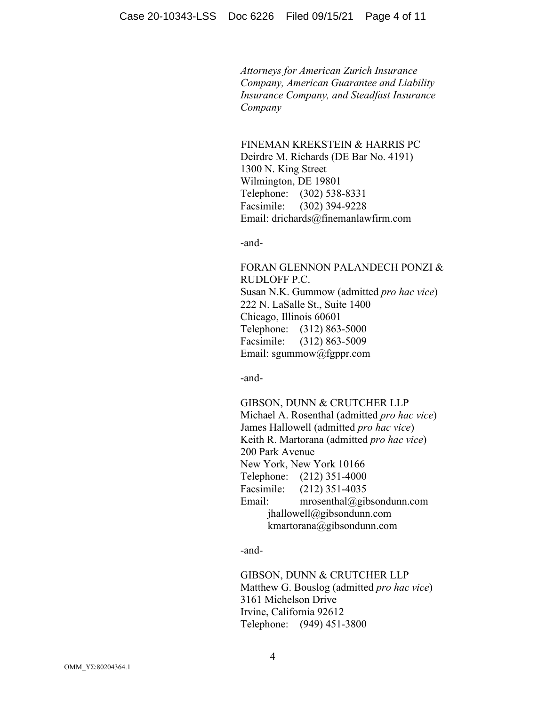*Attorneys for American Zurich Insurance Company, American Guarantee and Liability Insurance Company, and Steadfast Insurance Company*

 FINEMAN KREKSTEIN & HARRIS PC Deirdre M. Richards (DE Bar No. 4191) 1300 N. King Street Wilmington, DE 19801 Telephone: (302) 538-8331 Facsimile: (302) 394-9228 Email: drichards@finemanlawfirm.com

-and-

FORAN GLENNON PALANDECH PONZI & RUDLOFF P.C. Susan N.K. Gummow (admitted *pro hac vice*) 222 N. LaSalle St., Suite 1400 Chicago, Illinois 60601 Telephone: (312) 863-5000 Facsimile: (312) 863-5009 Email: sgummow@fgppr.com

-and-

GIBSON, DUNN & CRUTCHER LLP Michael A. Rosenthal (admitted *pro hac vice*) James Hallowell (admitted *pro hac vice*) Keith R. Martorana (admitted *pro hac vice*) 200 Park Avenue New York, New York 10166 Telephone: (212) 351-4000 Facsimile: (212) 351-4035 Email: mrosenthal@gibsondunn.com jhallowell@gibsondunn.com kmartorana@gibsondunn.com

-and-

GIBSON, DUNN & CRUTCHER LLP Matthew G. Bouslog (admitted *pro hac vice*) 3161 Michelson Drive Irvine, California 92612 Telephone: (949) 451-3800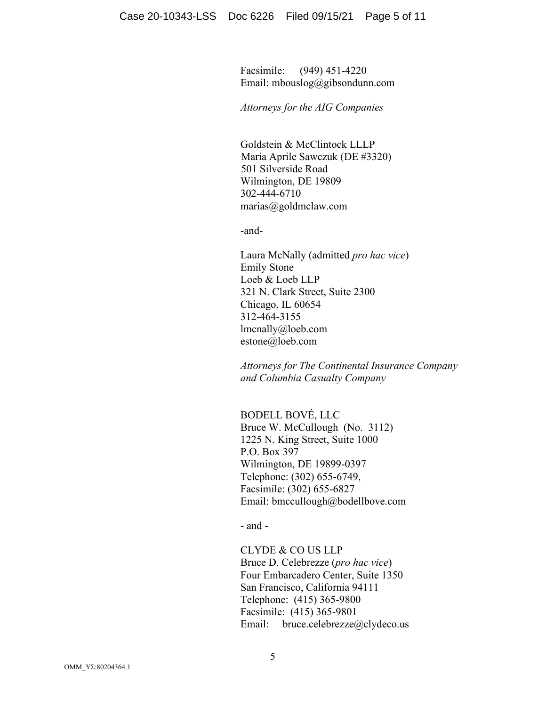Facsimile: (949) 451-4220 Email: mbouslog@gibsondunn.com

*Attorneys for the AIG Companies*

Goldstein & McClintock LLLP Maria Aprile Sawczuk (DE #3320) 501 Silverside Road Wilmington, DE 19809 302-444-6710 marias@goldmclaw.com

-and-

Laura McNally (admitted *pro hac vice*) Emily Stone Loeb & Loeb LLP 321 N. Clark Street, Suite 2300 Chicago, IL 60654 312-464-3155 lmcnally@loeb.com estone@loeb.com

*Attorneys for The Continental Insurance Company and Columbia Casualty Company*

BODELL BOVÉ, LLC Bruce W. McCullough (No. 3112) 1225 N. King Street, Suite 1000 P.O. Box 397 Wilmington, DE 19899-0397 Telephone: (302) 655-6749, Facsimile: (302) 655-6827 Email: bmccullough@bodellbove.com

- and -

CLYDE & CO US LLP Bruce D. Celebrezze (*pro hac vice*) Four Embarcadero Center, Suite 1350 San Francisco, California 94111 Telephone: (415) 365-9800 Facsimile: (415) 365-9801 Email: bruce.celebrezze@clydeco.us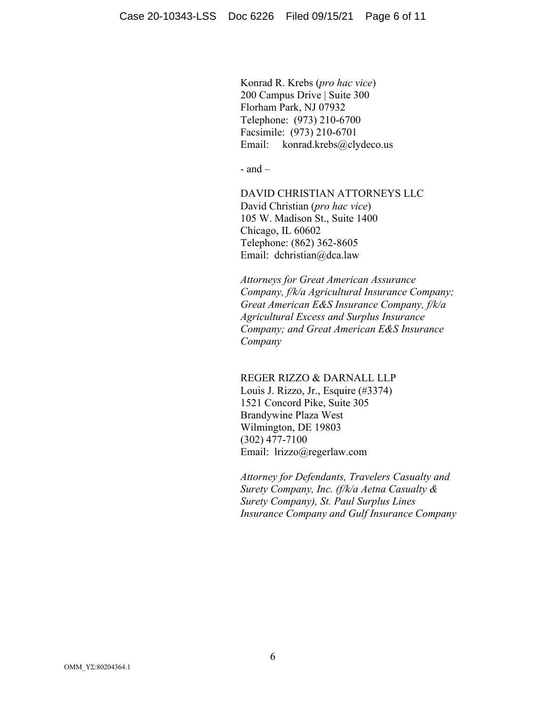Konrad R. Krebs (*pro hac vice*) 200 Campus Drive | Suite 300 Florham Park, NJ 07932 Telephone: (973) 210-6700 Facsimile: (973) 210-6701 Email: konrad.krebs@clydeco.us

 $-$  and  $-$ 

DAVID CHRISTIAN ATTORNEYS LLC David Christian (*pro hac vice*) 105 W. Madison St., Suite 1400 Chicago, IL 60602 Telephone: (862) 362-8605 Email: dchristian@dca.law

*Attorneys for Great American Assurance Company, f/k/a Agricultural Insurance Company; Great American E&S Insurance Company, f/k/a Agricultural Excess and Surplus Insurance Company; and Great American E&S Insurance Company*

REGER RIZZO & DARNALL LLP

Louis J. Rizzo, Jr., Esquire (#3374) 1521 Concord Pike, Suite 305 Brandywine Plaza West Wilmington, DE 19803 (302) 477-7100 Email: lrizzo@regerlaw.com

*Attorney for Defendants, Travelers Casualty and Surety Company, Inc. (f/k/a Aetna Casualty & Surety Company), St. Paul Surplus Lines Insurance Company and Gulf Insurance Company*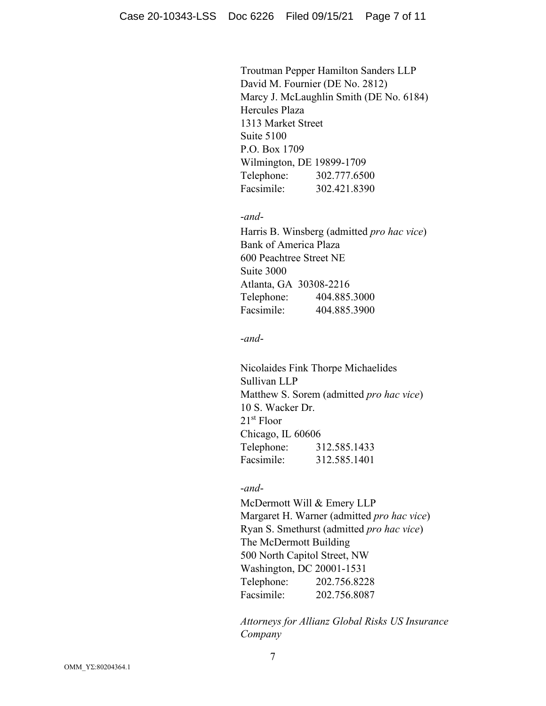Troutman Pepper Hamilton Sanders LLP David M. Fournier (DE No. 2812) Marcy J. McLaughlin Smith (DE No. 6184) Hercules Plaza 1313 Market Street Suite 5100 P.O. Box 1709 Wilmington, DE 19899-1709 Telephone: 302.777.6500 Facsimile: 302.421.8390

-*and*-

Harris B. Winsberg (admitted *pro hac vice*) Bank of America Plaza 600 Peachtree Street NE Suite 3000 Atlanta, GA 30308-2216 Telephone: 404.885.3000 Facsimile: 404.885.3900

-*and*-

Nicolaides Fink Thorpe Michaelides Sullivan LLP Matthew S. Sorem (admitted *pro hac vice*) 10 S. Wacker Dr. 21st Floor Chicago, IL 60606 Telephone: 312.585.1433 Facsimile: 312.585.1401

## -*and*-

McDermott Will & Emery LLP Margaret H. Warner (admitted *pro hac vice*) Ryan S. Smethurst (admitted *pro hac vice*) The McDermott Building 500 North Capitol Street, NW Washington, DC 20001-1531 Telephone: 202.756.8228 Facsimile: 202.756.8087

*Attorneys for Allianz Global Risks US Insurance Company*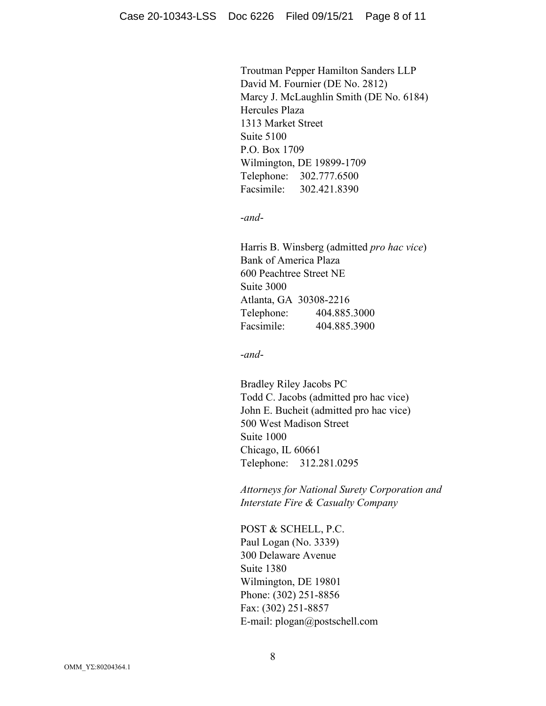Troutman Pepper Hamilton Sanders LLP David M. Fournier (DE No. 2812) Marcy J. McLaughlin Smith (DE No. 6184) Hercules Plaza 1313 Market Street Suite 5100 P.O. Box 1709 Wilmington, DE 19899-1709 Telephone: 302.777.6500 Facsimile: 302.421.8390

-*and*-

Harris B. Winsberg (admitted *pro hac vice*) Bank of America Plaza 600 Peachtree Street NE Suite 3000 Atlanta, GA 30308-2216 Telephone: 404.885.3000 Facsimile: 404.885.3900

-*and*-

Bradley Riley Jacobs PC Todd C. Jacobs (admitted pro hac vice) John E. Bucheit (admitted pro hac vice) 500 West Madison Street Suite 1000 Chicago, IL 60661 Telephone: 312.281.0295

*Attorneys for National Surety Corporation and Interstate Fire & Casualty Company*

POST & SCHELL, P.C. Paul Logan (No. 3339) 300 Delaware Avenue Suite 1380 Wilmington, DE 19801 Phone: (302) 251-8856 Fax: (302) 251-8857 E-mail: plogan@postschell.com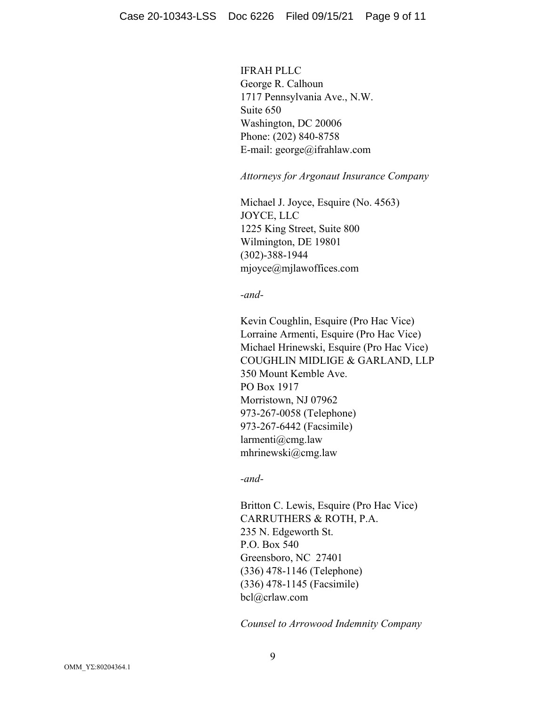IFRAH PLLC George R. Calhoun 1717 Pennsylvania Ave., N.W. Suite 650 Washington, DC 20006 Phone: (202) 840-8758 E-mail: george@ifrahlaw.com

*Attorneys for Argonaut Insurance Company*

Michael J. Joyce, Esquire (No. 4563) JOYCE, LLC 1225 King Street, Suite 800 Wilmington, DE 19801 (302)-388-1944 mjoyce@mjlawoffices.com

*-and-*

Kevin Coughlin, Esquire (Pro Hac Vice) Lorraine Armenti, Esquire (Pro Hac Vice) Michael Hrinewski, Esquire (Pro Hac Vice) COUGHLIN MIDLIGE & GARLAND, LLP 350 Mount Kemble Ave. PO Box 1917 Morristown, NJ 07962 973-267-0058 (Telephone) 973-267-6442 (Facsimile) larmenti@cmg.law mhrinewski@cmg.law

*-and-*

Britton C. Lewis, Esquire (Pro Hac Vice) CARRUTHERS & ROTH, P.A. 235 N. Edgeworth St. P.O. Box 540 Greensboro, NC 27401 (336) 478-1146 (Telephone) (336) 478-1145 (Facsimile) bcl@crlaw.com

*Counsel to Arrowood Indemnity Company*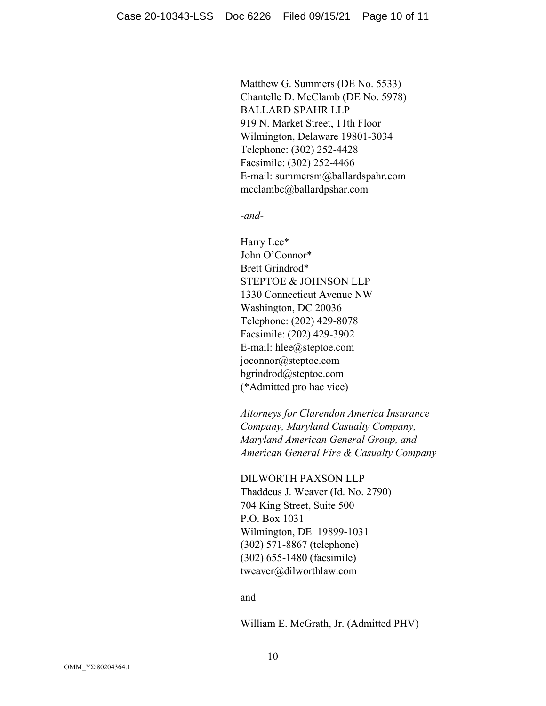Matthew G. Summers (DE No. 5533) Chantelle D. McClamb (DE No. 5978) BALLARD SPAHR LLP 919 N. Market Street, 11th Floor Wilmington, Delaware 19801-3034 Telephone: (302) 252-4428 Facsimile: (302) 252-4466 E-mail: summersm@ballardspahr.com mcclambc@ballardpshar.com

*-and-*

Harry Lee\* John O'Connor\* Brett Grindrod\* STEPTOE & JOHNSON LLP 1330 Connecticut Avenue NW Washington, DC 20036 Telephone: (202) 429-8078 Facsimile: (202) 429-3902 E-mail: hlee@steptoe.com joconnor@steptoe.com bgrindrod@steptoe.com (\*Admitted pro hac vice)

*Attorneys for Clarendon America Insurance Company, Maryland Casualty Company, Maryland American General Group, and American General Fire & Casualty Company*

DILWORTH PAXSON LLP Thaddeus J. Weaver (Id. No. 2790) 704 King Street, Suite 500 P.O. Box 1031 Wilmington, DE 19899-1031 (302) 571-8867 (telephone) (302) 655-1480 (facsimile) tweaver@dilworthlaw.com

#### and

William E. McGrath, Jr. (Admitted PHV)